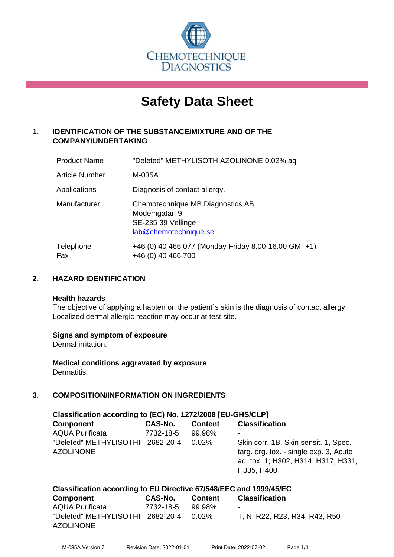

# **Safety Data Sheet**

# **1. IDENTIFICATION OF THE SUBSTANCE/MIXTURE AND OF THE COMPANY/UNDERTAKING**

| <b>Product Name</b>   | "Deleted" METHYLISOTHIAZOLINONE 0.02% aq                                                        |
|-----------------------|-------------------------------------------------------------------------------------------------|
| <b>Article Number</b> | M-035A                                                                                          |
| Applications          | Diagnosis of contact allergy.                                                                   |
| Manufacturer          | Chemotechnique MB Diagnostics AB<br>Modemgatan 9<br>SE-235 39 Vellinge<br>lab@chemotechnique.se |
| Telephone<br>Fax      | +46 (0) 40 466 077 (Monday-Friday 8.00-16.00 GMT+1)<br>+46 (0) 40 466 700                       |

## **2. HAZARD IDENTIFICATION**

#### **Health hazards**

The objective of applying a hapten on the patient's skin is the diagnosis of contact allergy. Localized dermal allergic reaction may occur at test site.

## **Signs and symptom of exposure**

Dermal irritation.

**Medical conditions aggravated by exposure** Dermatitis.

# **3. COMPOSITION/INFORMATION ON INGREDIENTS**

| Classification according to (EC) No. 1272/2008 [EU-GHS/CLP]         |           |                |                                                                                                                                     |  |
|---------------------------------------------------------------------|-----------|----------------|-------------------------------------------------------------------------------------------------------------------------------------|--|
| Component                                                           | CAS-No.   | <b>Content</b> | <b>Classification</b>                                                                                                               |  |
| <b>AQUA Purificata</b>                                              | 7732-18-5 | 99.98%         |                                                                                                                                     |  |
| "Deleted" METHYLISOTHI 2682-20-4<br><b>AZOLINONE</b>                |           | $0.02\%$       | Skin corr. 1B, Skin sensit. 1, Spec.<br>targ. org. tox. - single exp. 3, Acute<br>ag. tox. 1; H302, H314, H317, H331,<br>H335, H400 |  |
| Closeification according to ELL Divestive CZIEAOIEEC and 1000/4EIEC |           |                |                                                                                                                                     |  |

| Classification according to EQ Directive 07/040/EEC and 1999/40/EC |           |         |                               |  |  |
|--------------------------------------------------------------------|-----------|---------|-------------------------------|--|--|
| Component                                                          | CAS-No.   | Content | <b>Classification</b>         |  |  |
| <b>AQUA Purificata</b>                                             | 7732-18-5 | 99.98%  | $\overline{\phantom{0}}$      |  |  |
| "Deleted" METHYLISOTHI 2682-20-4 0.02%<br><b>AZOLINONE</b>         |           |         | T, N; R22, R23, R34, R43, R50 |  |  |
|                                                                    |           |         |                               |  |  |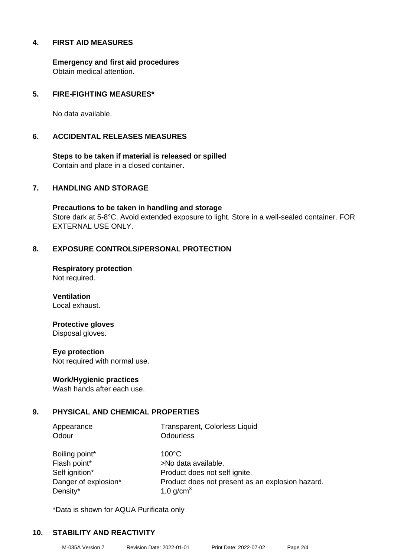## **4. FIRST AID MEASURES**

**Emergency and first aid procedures** Obtain medical attention.

## **5. FIRE-FIGHTING MEASURES\***

No data available.

#### **6. ACCIDENTAL RELEASES MEASURES**

**Steps to be taken if material is released or spilled** Contain and place in a closed container.

## **7. HANDLING AND STORAGE**

**Precautions to be taken in handling and storage** Store dark at 5-8°C. Avoid extended exposure to light. Store in a well-sealed container. FOR EXTERNAL USE ONLY.

## **8. EXPOSURE CONTROLS/PERSONAL PROTECTION**

**Respiratory protection** Not required.

**Ventilation** Local exhaust.

## **Protective gloves**

Disposal gloves.

#### **Eye protection**

Not required with normal use.

#### **Work/Hygienic practices**

Wash hands after each use.

## **9. PHYSICAL AND CHEMICAL PROPERTIES**

Odour **Odourless** 

Appearance Transparent, Colorless Liquid

Boiling point\* 100°C Flash point\* >No data available. Density\*  $1.0 \text{ g/cm}^3$ 

Self ignition\* Product does not self ignite. Danger of explosion\* Product does not present as an explosion hazard.

\*Data is shown for AQUA Purificata only

## **10. STABILITY AND REACTIVITY**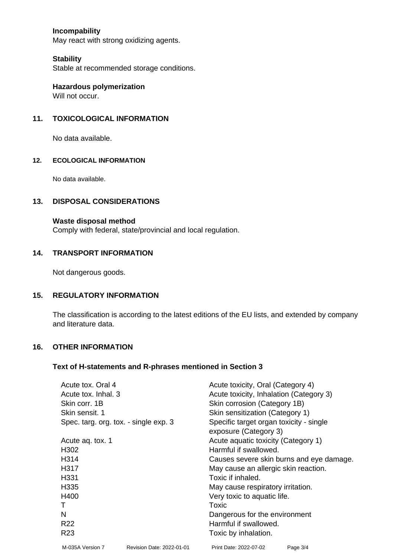## **Incompability**

May react with strong oxidizing agents.

#### **Stability**

Stable at recommended storage conditions.

**Hazardous polymerization** Will not occur.

## **11. TOXICOLOGICAL INFORMATION**

No data available.

#### **12. ECOLOGICAL INFORMATION**

No data available.

#### **13. DISPOSAL CONSIDERATIONS**

#### **Waste disposal method**

Comply with federal, state/provincial and local regulation.

#### **14. TRANSPORT INFORMATION**

Not dangerous goods.

#### **15. REGULATORY INFORMATION**

The classification is according to the latest editions of the EU lists, and extended by company and literature data.

#### **16. OTHER INFORMATION**

## **Text of H-statements and R-phrases mentioned in Section 3**

| Acute tox. Oral 4                     |                           | Acute toxicity, Oral (Category 4)        |          |  |
|---------------------------------------|---------------------------|------------------------------------------|----------|--|
| Acute tox. Inhal. 3                   |                           | Acute toxicity, Inhalation (Category 3)  |          |  |
| Skin corr. 1B                         |                           | Skin corrosion (Category 1B)             |          |  |
| Skin sensit, 1                        |                           | Skin sensitization (Category 1)          |          |  |
| Spec. targ. org. tox. - single exp. 3 |                           | Specific target organ toxicity - single  |          |  |
|                                       |                           | exposure (Category 3)                    |          |  |
| Acute ag. tox. 1                      |                           | Acute aquatic toxicity (Category 1)      |          |  |
| H302                                  |                           | Harmful if swallowed.                    |          |  |
| H314                                  |                           | Causes severe skin burns and eye damage. |          |  |
| H317                                  |                           | May cause an allergic skin reaction.     |          |  |
| H <sub>331</sub>                      |                           | Toxic if inhaled.                        |          |  |
| H335                                  |                           | May cause respiratory irritation.        |          |  |
| H400                                  |                           | Very toxic to aquatic life.              |          |  |
|                                       |                           | Toxic                                    |          |  |
| N                                     |                           | Dangerous for the environment            |          |  |
| R <sub>22</sub>                       |                           | Harmful if swallowed.                    |          |  |
| R <sub>23</sub>                       |                           | Toxic by inhalation.                     |          |  |
| M-035A Version 7                      | Revision Date: 2022-01-01 | Print Date: 2022-07-02                   | Page 3/4 |  |